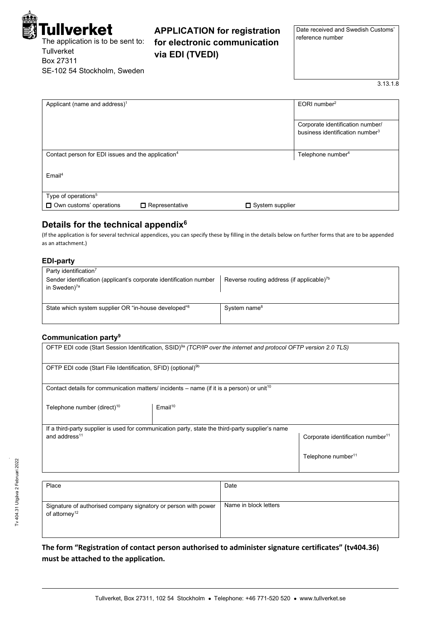

The application is to be sent to: **Tullverket** Box 27311 SE-102 54 Stockholm, Sweden

**APPLICATION for registration for electronic communication via EDI (TVEDI)**

Date received and Swedish Customs' reference number

3.13.1.8

| Applicant (name and address) <sup>1</sup>                      |                        | $EORI$ number <sup>2</sup>                  |
|----------------------------------------------------------------|------------------------|---------------------------------------------|
|                                                                |                        |                                             |
|                                                                |                        | Corporate identification number/            |
|                                                                |                        | business identification number <sup>3</sup> |
|                                                                |                        |                                             |
| Contact person for EDI issues and the application <sup>4</sup> |                        | Telephone number <sup>4</sup>               |
|                                                                |                        |                                             |
| $E$ mail <sup>4</sup>                                          |                        |                                             |
|                                                                |                        |                                             |
|                                                                |                        |                                             |
| Type of operations <sup>5</sup>                                |                        |                                             |
| $\Box$ Own customs' operations<br>$\Box$ Representative        | $\Box$ System supplier |                                             |

# **Details for the technical appendix<sup>6</sup>**

(If the application is for several technical appendices, you can specify these by filling in the details below on further forms that are to be appended as an attachment.)

## **EDI-party**

| Party identification <sup>7</sup><br>Sender identification (applicant's corporate identification number<br>in Sweden) <sup>7a</sup> | Reverse routing address (if applicable) $7b$ |
|-------------------------------------------------------------------------------------------------------------------------------------|----------------------------------------------|
| State which system supplier OR "in-house developed" <sup>8</sup>                                                                    | System name <sup>8</sup>                     |

# **Communication party<sup>9</sup>**

| OFTP EDI code (Start Session Identification, SSID) <sup>9a</sup> (TCP/IP over the internet and protocol OFTP version 2.0 TLS) |                                                                                                       |                                               |  |  |
|-------------------------------------------------------------------------------------------------------------------------------|-------------------------------------------------------------------------------------------------------|-----------------------------------------------|--|--|
| OFTP EDI code (Start File Identification, SFID) (optional) <sup>9b</sup>                                                      |                                                                                                       |                                               |  |  |
|                                                                                                                               | Contact details for communication matters/ incidents – name (if it is a person) or unit <sup>10</sup> |                                               |  |  |
| Telephone number (direct) <sup>10</sup>                                                                                       | $E$ mail <sup>10</sup>                                                                                |                                               |  |  |
| and address <sup>11</sup>                                                                                                     | If a third-party supplier is used for communication party, state the third-party supplier's name      | Corporate identification number <sup>11</sup> |  |  |
|                                                                                                                               |                                                                                                       | Telephone number <sup>11</sup>                |  |  |

| Place                                                                                       | Date                  |
|---------------------------------------------------------------------------------------------|-----------------------|
| Signature of authorised company signatory or person with power<br>of attorney <sup>12</sup> | Name in block letters |

**The form "Registration of contact person authorised to administer signature certificates" (tv404.36) must be attached to the application.**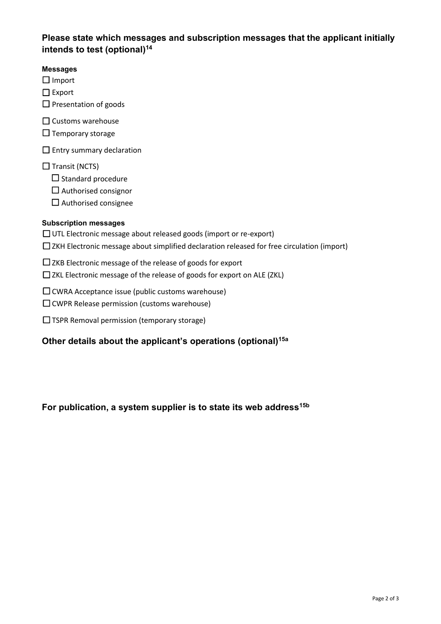# **Please state which messages and subscription messages that the applicant initially intends to test (optional)<sup>14</sup>**

# **Messages**

☐ Import

☐ Export

□ Presentation of goods

☐ Customs warehouse

 $\Box$  Temporary storage

□ Entry summary declaration

 $\Box$  Transit (NCTS)

 $\Box$  Standard procedure

 $\Box$  Authorised consignor

 $\Box$  Authorised consignee

# **Subscription messages**

☐ UTL Electronic message about released goods (import or re-export)

☐ ZKH Electronic message about simplified declaration released for free circulation (import)

□ ZKB Electronic message of the release of goods for export

☐ ZKL Electronic message of the release of goods for export on ALE (ZKL)

☐ CWRA Acceptance issue (public customs warehouse)

☐ CWPR Release permission (customs warehouse)

☐ TSPR Removal permission (temporary storage)

# **Other details about the applicant's operations (optional)15a**

**For publication, a system supplier is to state its web address15b**